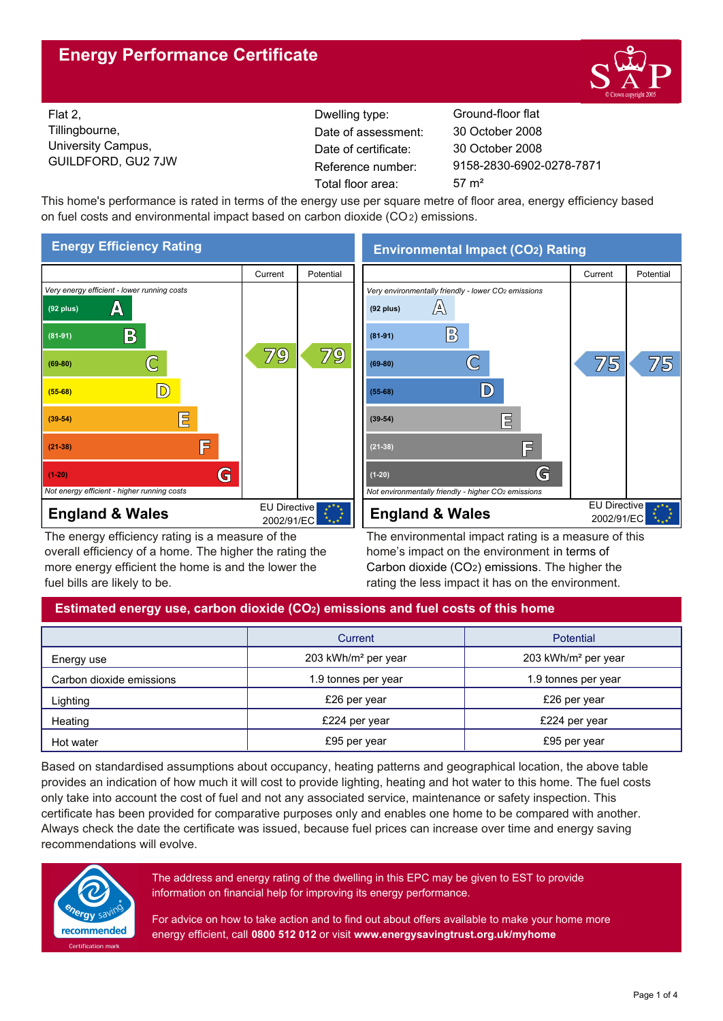# **Energy Performance Certificate**



Flat 2, Tillingbourne, University Campus, GUILDFORD, GU2 7JW

Dwelling type: Ground-floor flat Date of certificate: Total floor area: 57 m<sup>2</sup> Date of assessment:

9158-2830-6902-0278-7871 30 October 2008 30 October 2008

This home's performance is rated in terms of the energy use per square metre of floor area, energy efficiency based on fuel costs and environmental impact based on carbon dioxide (CO2) emissions.



The energy efficiency rating is a measure of the overall efficiency of a home. The higher the rating the more energy efficient the home is and the lower the fuel bills are likely to be.

# **Environmental Impact (CO2) Rating**



The environmental impact rating is a measure of this home's impact on the environment in terms of Carbon dioxide (CO2) emissions. The higher the rating the less impact it has on the environment.

# **Estimated energy use, carbon dioxide (CO2) emissions and fuel costs of this home**

|                          | Current                         | <b>Potential</b>                |  |
|--------------------------|---------------------------------|---------------------------------|--|
| Energy use               | 203 kWh/m <sup>2</sup> per year | 203 kWh/m <sup>2</sup> per year |  |
| Carbon dioxide emissions | 1.9 tonnes per year             | 1.9 tonnes per year             |  |
| Lighting                 | £26 per year                    | £26 per year                    |  |
| Heating                  | £224 per year                   | £224 per year                   |  |
| Hot water                | £95 per year                    | £95 per year                    |  |

Based on standardised assumptions about occupancy, heating patterns and geographical location, the above table provides an indication of how much it will cost to provide lighting, heating and hot water to this home. The fuel costs only take into account the cost of fuel and not any associated service, maintenance or safety inspection. This certificate has been provided for comparative purposes only and enables one home to be compared with another. Always check the date the certificate was issued, because fuel prices can increase over time and energy saving recommendations will evolve.



The address and energy rating of the dwelling in this EPC may be given to EST to provide information on financial help for improving its energy performance.

For advice on how to take action and to find out about offers available to make your home more energy efficient, call **0800 512 012** or visit **www.energysavingtrust.org.uk/myhome**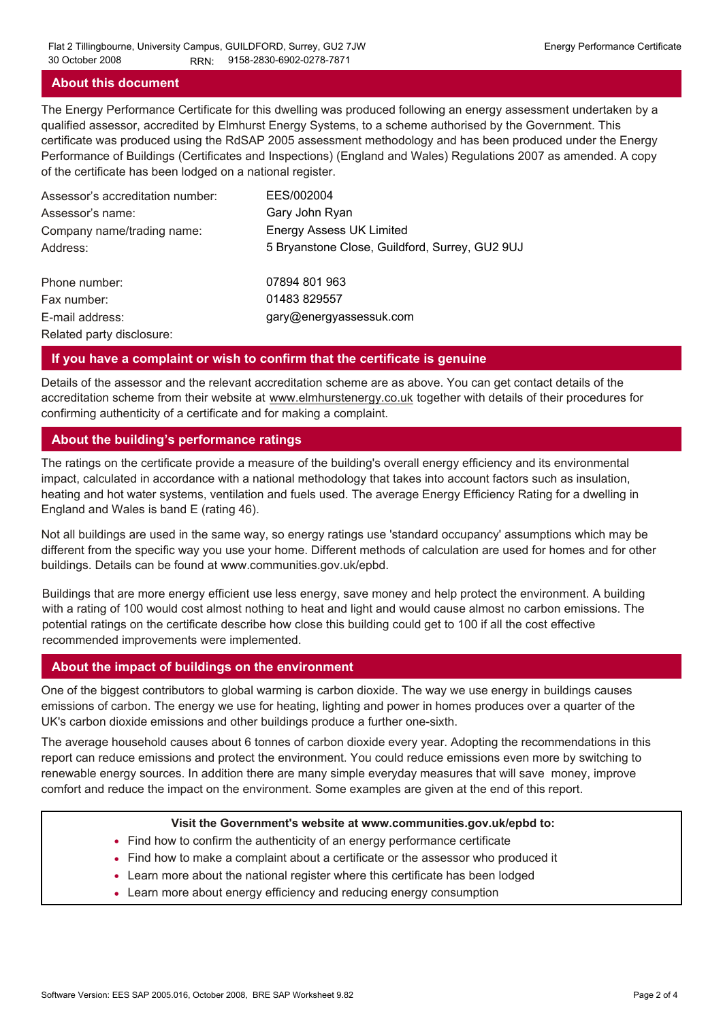#### **About this document**

The Energy Performance Certificate for this dwelling was produced following an energy assessment undertaken by a qualified assessor, accredited by Elmhurst Energy Systems, to a scheme authorised by the Government. This certificate was produced using the RdSAP 2005 assessment methodology and has been produced under the Energy Performance of Buildings (Certificates and Inspections) (England and Wales) Regulations 2007 as amended. A copy of the certificate has been lodged on a national register.

| Assessor's accreditation number: | EES/002004                                     |
|----------------------------------|------------------------------------------------|
| Assessor's name:                 | Gary John Ryan                                 |
| Company name/trading name:       | <b>Energy Assess UK Limited</b>                |
| Address:                         | 5 Bryanstone Close, Guildford, Surrey, GU2 9UJ |
| Phone number:                    | 07894 801 963                                  |
| Fax number:                      | 01483 829557                                   |
| E-mail address:                  | gary@energyassessuk.com                        |
| Related party disclosure:        |                                                |

#### **If you have a complaint or wish to confirm that the certificate is genuine**

Details of the assessor and the relevant accreditation scheme are as above. You can get contact details of the accreditation scheme from their website at www.elmhurstenergy.co.uk together with details of their procedures for confirming authenticity of a certificate and for making a complaint.

#### **About the building's performance ratings**

The ratings on the certificate provide a measure of the building's overall energy efficiency and its environmental impact, calculated in accordance with a national methodology that takes into account factors such as insulation, heating and hot water systems, ventilation and fuels used. The average Energy Efficiency Rating for a dwelling in England and Wales is band E (rating 46).

Not all buildings are used in the same way, so energy ratings use 'standard occupancy' assumptions which may be different from the specific way you use your home. Different methods of calculation are used for homes and for other buildings. Details can be found at www.communities.gov.uk/epbd.

Buildings that are more energy efficient use less energy, save money and help protect the environment. A building with a rating of 100 would cost almost nothing to heat and light and would cause almost no carbon emissions. The potential ratings on the certificate describe how close this building could get to 100 if all the cost effective recommended improvements were implemented.

#### **About the impact of buildings on the environment**

One of the biggest contributors to global warming is carbon dioxide. The way we use energy in buildings causes emissions of carbon. The energy we use for heating, lighting and power in homes produces over a quarter of the UK's carbon dioxide emissions and other buildings produce a further one-sixth.

The average household causes about 6 tonnes of carbon dioxide every year. Adopting the recommendations in this report can reduce emissions and protect the environment. You could reduce emissions even more by switching to renewable energy sources. In addition there are many simple everyday measures that will save money, improve comfort and reduce the impact on the environment. Some examples are given at the end of this report.

#### **Visit the Government's website at www.communities.gov.uk/epbd to:**

- Find how to confirm the authenticity of an energy performance certificate
- Find how to make a complaint about a certificate or the assessor who produced it •
- Learn more about the national register where this certificate has been lodged •
- Learn more about energy efficiency and reducing energy consumption •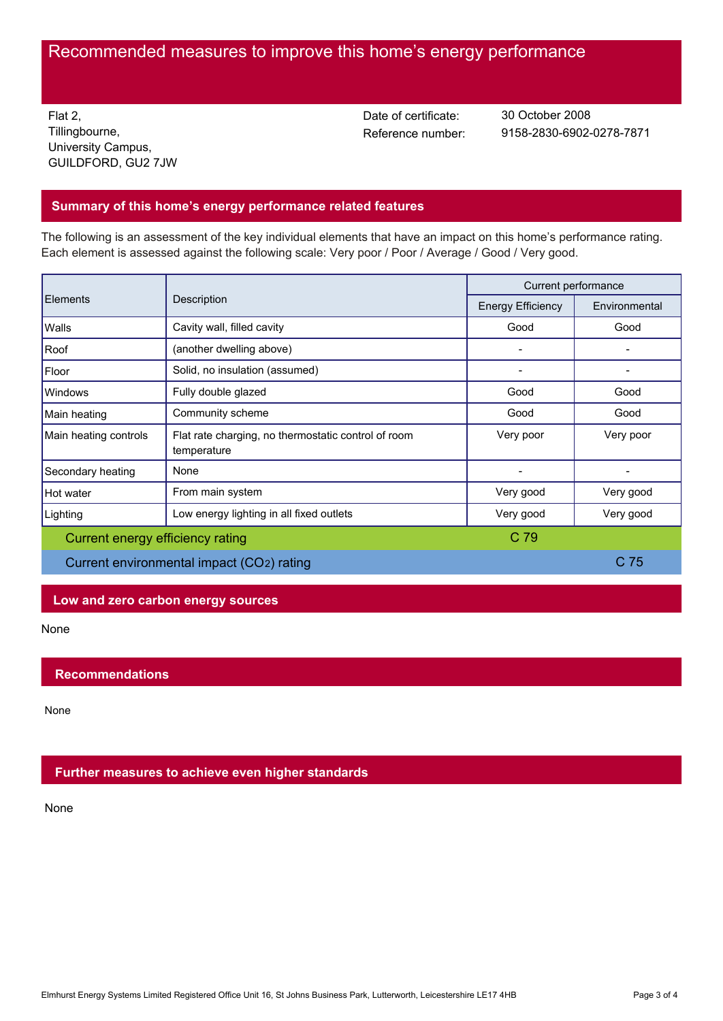# Recommended measures to improve this home's energy performance

Flat 2, Tillingbourne, University Campus, GUILDFORD, GU2 7JW Date of certificate:

Reference number: 9158-2830-6902-0278-7871 30 October 2008

# **Summary of this home's energy performance related features**

The following is an assessment of the key individual elements that have an impact on this home's performance rating. Each element is assessed against the following scale: Very poor / Poor / Average / Good / Very good.

| Elements                                  | Description                                                        | Current performance      |               |
|-------------------------------------------|--------------------------------------------------------------------|--------------------------|---------------|
|                                           |                                                                    | <b>Energy Efficiency</b> | Environmental |
| Walls                                     | Cavity wall, filled cavity                                         | Good                     | Good          |
| Roof                                      | (another dwelling above)                                           |                          |               |
| Floor                                     | Solid, no insulation (assumed)                                     |                          |               |
| Windows                                   | Fully double glazed                                                | Good                     | Good          |
| Main heating                              | Community scheme                                                   | Good                     | Good          |
| Main heating controls                     | Flat rate charging, no thermostatic control of room<br>temperature | Very poor                | Very poor     |
| Secondary heating                         | None                                                               |                          |               |
| Hot water                                 | From main system                                                   | Very good                | Very good     |
| Lighting                                  | Low energy lighting in all fixed outlets                           | Very good                | Very good     |
| Current energy efficiency rating          |                                                                    | C 79                     |               |
| Current environmental impact (CO2) rating |                                                                    | C 75                     |               |

## **Low and zero carbon energy sources**

None

## **Recommendations**

None

## **Further measures to achieve even higher standards**

None